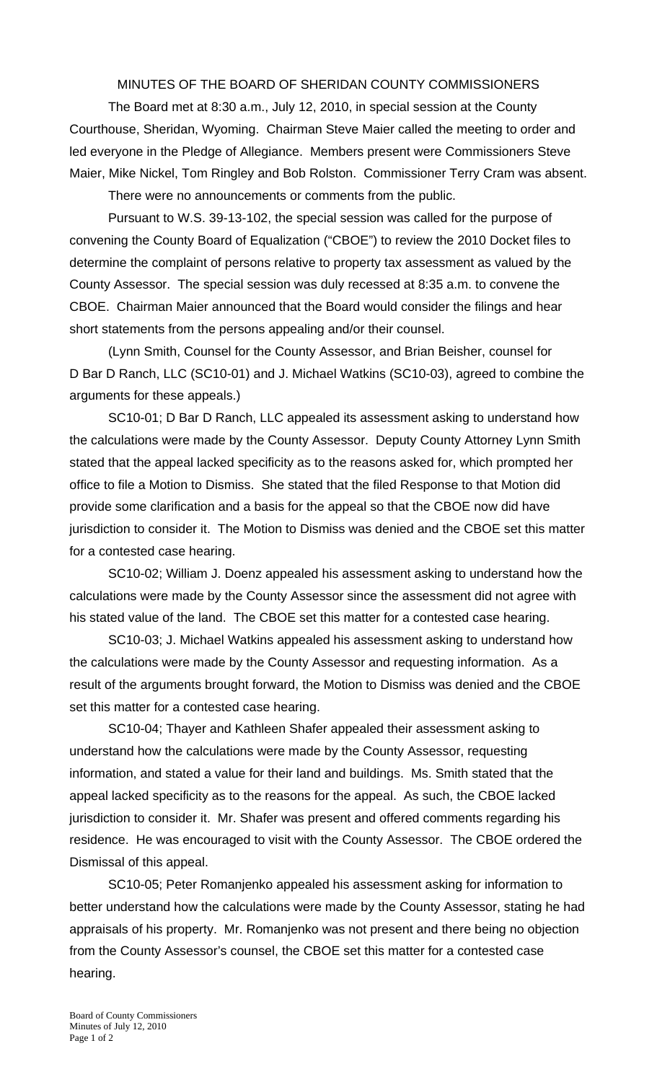MINUTES OF THE BOARD OF SHERIDAN COUNTY COMMISSIONERS

 The Board met at 8:30 a.m., July 12, 2010, in special session at the County Courthouse, Sheridan, Wyoming. Chairman Steve Maier called the meeting to order and led everyone in the Pledge of Allegiance. Members present were Commissioners Steve Maier, Mike Nickel, Tom Ringley and Bob Rolston. Commissioner Terry Cram was absent.

There were no announcements or comments from the public.

 Pursuant to W.S. 39-13-102, the special session was called for the purpose of convening the County Board of Equalization ("CBOE") to review the 2010 Docket files to determine the complaint of persons relative to property tax assessment as valued by the County Assessor. The special session was duly recessed at 8:35 a.m. to convene the CBOE. Chairman Maier announced that the Board would consider the filings and hear short statements from the persons appealing and/or their counsel.

(Lynn Smith, Counsel for the County Assessor, and Brian Beisher, counsel for D Bar D Ranch, LLC (SC10-01) and J. Michael Watkins (SC10-03), agreed to combine the arguments for these appeals.)

SC10-01; D Bar D Ranch, LLC appealed its assessment asking to understand how the calculations were made by the County Assessor. Deputy County Attorney Lynn Smith stated that the appeal lacked specificity as to the reasons asked for, which prompted her office to file a Motion to Dismiss. She stated that the filed Response to that Motion did provide some clarification and a basis for the appeal so that the CBOE now did have jurisdiction to consider it. The Motion to Dismiss was denied and the CBOE set this matter for a contested case hearing.

SC10-02; William J. Doenz appealed his assessment asking to understand how the calculations were made by the County Assessor since the assessment did not agree with his stated value of the land. The CBOE set this matter for a contested case hearing.

SC10-03; J. Michael Watkins appealed his assessment asking to understand how the calculations were made by the County Assessor and requesting information. As a result of the arguments brought forward, the Motion to Dismiss was denied and the CBOE set this matter for a contested case hearing.

SC10-04; Thayer and Kathleen Shafer appealed their assessment asking to understand how the calculations were made by the County Assessor, requesting information, and stated a value for their land and buildings. Ms. Smith stated that the appeal lacked specificity as to the reasons for the appeal. As such, the CBOE lacked jurisdiction to consider it. Mr. Shafer was present and offered comments regarding his residence. He was encouraged to visit with the County Assessor. The CBOE ordered the Dismissal of this appeal.

SC10-05; Peter Romanjenko appealed his assessment asking for information to better understand how the calculations were made by the County Assessor, stating he had appraisals of his property. Mr. Romanjenko was not present and there being no objection from the County Assessor's counsel, the CBOE set this matter for a contested case hearing.